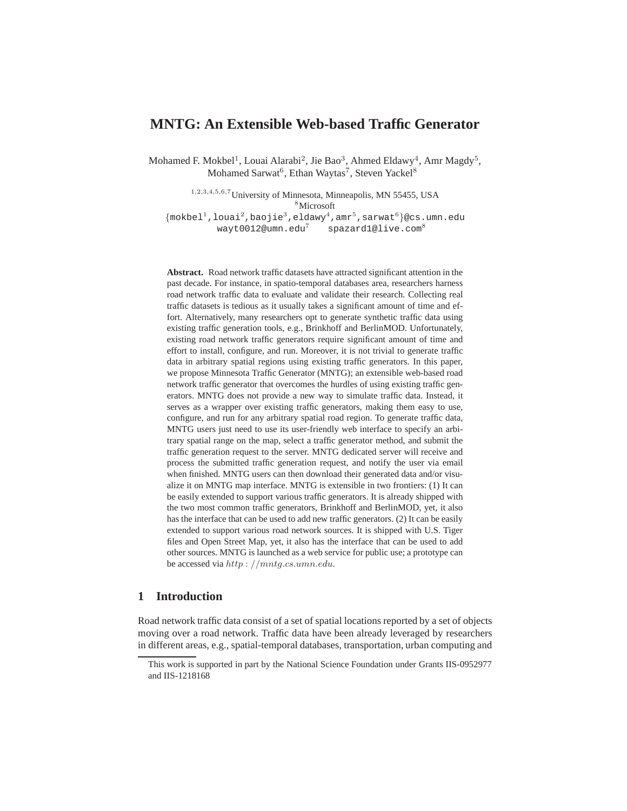# **MNTG: An Extensible Web-based Traffic Generator**

Mohamed F. Mokbel<sup>1</sup>, Louai Alarabi<sup>2</sup>, Jie Bao<sup>3</sup>, Ahmed Eldawy<sup>4</sup>, Amr Magdy<sup>5</sup>, Mohamed Sarwat<sup>6</sup>, Ethan Waytas<sup>7</sup>, Steven Yackel<sup>8</sup>

<sup>1</sup>,2,3,4,5,6,<sup>7</sup>University of Minnesota, Minneapolis, MN 55455, USA <sup>8</sup>Microsoft  ${\{\textsf{mokbel}}^1$ ,louai<sup>2</sup>,baojie<sup>3</sup>,eldawy<sup>4</sup>,amr<sup>5</sup>,sarwat<sup>6</sup>}@cs.umn.edu wayt0012@umn.edu<sup>7</sup> spazard1@live.com<sup>8</sup>

**Abstract.** Road network traffic datasets have attracted significant attention in the past decade. For instance, in spatio-temporal databases area, researchers harness road network traffic data to evaluate and validate their research. Collecting real traffic datasets is tedious as it usually takes a significant amount of time and effort. Alternatively, many researchers opt to generate synthetic traffic data using existing traffic generation tools, e.g., Brinkhoff and BerlinMOD. Unfortunately, existing road network traffic generators require significant amount of time and effort to install, configure, and run. Moreover, it is not trivial to generate traffic data in arbitrary spatial regions using existing traffic generators. In this paper, we propose Minnesota Traffic Generator (MNTG); an extensible web-based road network traffic generator that overcomes the hurdles of using existing traffic generators. MNTG does not provide a new way to simulate traffic data. Instead, it serves as a wrapper over existing traffic generators, making them easy to use, configure, and run for any arbitrary spatial road region. To generate traffic data, MNTG users just need to use its user-friendly web interface to specify an arbitrary spatial range on the map, select a traffic generator method, and submit the traffic generation request to the server. MNTG dedicated server will receive and process the submitted traffic generation request, and notify the user via email when finished. MNTG users can then download their generated data and/or visualize it on MNTG map interface. MNTG is extensible in two frontiers: (1) It can be easily extended to support various traffic generators. It is already shipped with the two most common traffic generators, Brinkhoff and BerlinMOD, yet, it also has the interface that can be used to add new traffic generators. (2) It can be easily extended to support various road network sources. It is shipped with U.S. Tiger files and Open Street Map, yet, it also has the interface that can be used to add other sources. MNTG is launched as a web service for public use; a prototype can be accessed via http : //mntg.cs.umn.edu.

# **1 Introduction**

Road network traffic data consist of a set of spatial locations reported by a set of objects moving over a road network. Traffic data have been already leveraged by researchers in different areas, e.g., spatial-temporal databases, transportation, urban computing and

This work is supported in part by the National Science Foundation under Grants IIS-0952977 and IIS-1218168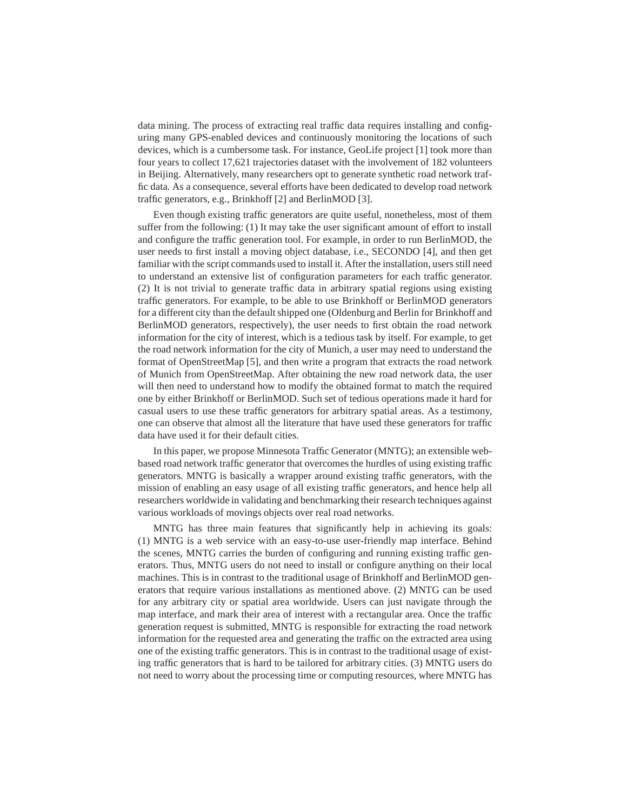data mining. The process of extracting real traffic data requires installing and configuring many GPS-enabled devices and continuously monitoring the locations of such devices, which is a cumbersome task. For instance, GeoLife project [1] took more than four years to collect 17,621 trajectories dataset with the involvement of 182 volunteers in Beijing. Alternatively, many researchers opt to generate synthetic road network traffic data. As a consequence, several efforts have been dedicated to develop road network traffic generators, e.g., Brinkhoff [2] and BerlinMOD [3].

Even though existing traffic generators are quite useful, nonetheless, most of them suffer from the following: (1) It may take the user significant amount of effort to install and configure the traffic generation tool. For example, in order to run BerlinMOD, the user needs to first install a moving object database, i.e., SECONDO [4], and then get familiar with the script commands used to install it. After the installation, users still need to understand an extensive list of configuration parameters for each traffic generator. (2) It is not trivial to generate traffic data in arbitrary spatial regions using existing traffic generators. For example, to be able to use Brinkhoff or BerlinMOD generators for a different city than the default shipped one (Oldenburg and Berlin for Brinkhoff and BerlinMOD generators, respectively), the user needs to first obtain the road network information for the city of interest, which is a tedious task by itself. For example, to get the road network information for the city of Munich, a user may need to understand the format of OpenStreetMap [5], and then write a program that extracts the road network of Munich from OpenStreetMap. After obtaining the new road network data, the user will then need to understand how to modify the obtained format to match the required one by either Brinkhoff or BerlinMOD. Such set of tedious operations made it hard for casual users to use these traffic generators for arbitrary spatial areas. As a testimony, one can observe that almost all the literature that have used these generators for traffic data have used it for their default cities.

In this paper, we propose Minnesota Traffic Generator (MNTG); an extensible webbased road network traffic generator that overcomes the hurdles of using existing traffic generators. MNTG is basically a wrapper around existing traffic generators, with the mission of enabling an easy usage of all existing traffic generators, and hence help all researchers worldwide in validating and benchmarking their research techniques against various workloads of movings objects over real road networks.

MNTG has three main features that significantly help in achieving its goals: (1) MNTG is a web service with an easy-to-use user-friendly map interface. Behind the scenes, MNTG carries the burden of configuring and running existing traffic generators. Thus, MNTG users do not need to install or configure anything on their local machines. This is in contrast to the traditional usage of Brinkhoff and BerlinMOD generators that require various installations as mentioned above. (2) MNTG can be used for any arbitrary city or spatial area worldwide. Users can just navigate through the map interface, and mark their area of interest with a rectangular area. Once the traffic generation request is submitted, MNTG is responsible for extracting the road network information for the requested area and generating the traffic on the extracted area using one of the existing traffic generators. This is in contrast to the traditional usage of existing traffic generators that is hard to be tailored for arbitrary cities. (3) MNTG users do not need to worry about the processing time or computing resources, where MNTG has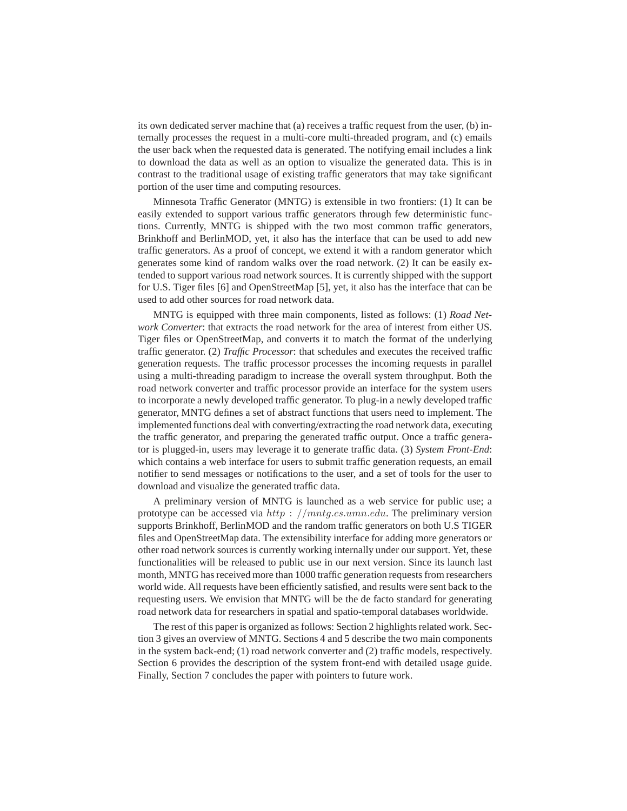its own dedicated server machine that (a) receives a traffic request from the user, (b) internally processes the request in a multi-core multi-threaded program, and (c) emails the user back when the requested data is generated. The notifying email includes a link to download the data as well as an option to visualize the generated data. This is in contrast to the traditional usage of existing traffic generators that may take significant portion of the user time and computing resources.

Minnesota Traffic Generator (MNTG) is extensible in two frontiers: (1) It can be easily extended to support various traffic generators through few deterministic functions. Currently, MNTG is shipped with the two most common traffic generators, Brinkhoff and BerlinMOD, yet, it also has the interface that can be used to add new traffic generators. As a proof of concept, we extend it with a random generator which generates some kind of random walks over the road network. (2) It can be easily extended to support various road network sources. It is currently shipped with the support for U.S. Tiger files [6] and OpenStreetMap [5], yet, it also has the interface that can be used to add other sources for road network data.

MNTG is equipped with three main components, listed as follows: (1) *Road Network Converter*: that extracts the road network for the area of interest from either US. Tiger files or OpenStreetMap, and converts it to match the format of the underlying traffic generator. (2) *Traffic Processor*: that schedules and executes the received traffic generation requests. The traffic processor processes the incoming requests in parallel using a multi-threading paradigm to increase the overall system throughput. Both the road network converter and traffic processor provide an interface for the system users to incorporate a newly developed traffic generator. To plug-in a newly developed traffic generator, MNTG defines a set of abstract functions that users need to implement. The implemented functions deal with converting/extracting the road network data, executing the traffic generator, and preparing the generated traffic output. Once a traffic generator is plugged-in, users may leverage it to generate traffic data. (3) *System Front-End*: which contains a web interface for users to submit traffic generation requests, an email notifier to send messages or notifications to the user, and a set of tools for the user to download and visualize the generated traffic data.

A preliminary version of MNTG is launched as a web service for public use; a prototype can be accessed via  $http://mntg.cs.umn.edu.$  The preliminary version supports Brinkhoff, BerlinMOD and the random traffic generators on both U.S TIGER files and OpenStreetMap data. The extensibility interface for adding more generators or other road network sources is currently working internally under our support. Yet, these functionalities will be released to public use in our next version. Since its launch last month, MNTG has received more than 1000 traffic generation requests from researchers world wide. All requests have been efficiently satisfied, and results were sent back to the requesting users. We envision that MNTG will be the de facto standard for generating road network data for researchers in spatial and spatio-temporal databases worldwide.

The rest of this paper is organized as follows: Section 2 highlights related work. Section 3 gives an overview of MNTG. Sections 4 and 5 describe the two main components in the system back-end; (1) road network converter and (2) traffic models, respectively. Section 6 provides the description of the system front-end with detailed usage guide. Finally, Section 7 concludes the paper with pointers to future work.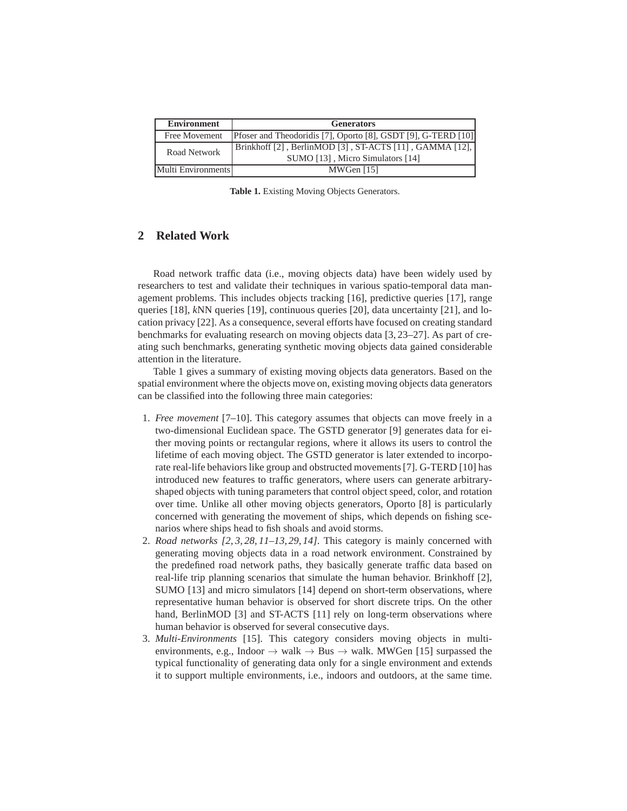| <b>Environment</b> | <b>Generators</b>                                             |  |
|--------------------|---------------------------------------------------------------|--|
| Free Movement      | Proser and Theodoridis [7], Oporto [8], GSDT [9], G-TERD [10] |  |
| Road Network       | Brinkhoff [2], BerlinMOD [3], ST-ACTS [11], GAMMA [12],       |  |
|                    | SUMO [13], Micro Simulators [14]                              |  |
| Multi Environments | MWGen [15]                                                    |  |

**Table 1.** Existing Moving Objects Generators.

# **2 Related Work**

Road network traffic data (i.e., moving objects data) have been widely used by researchers to test and validate their techniques in various spatio-temporal data management problems. This includes objects tracking [16], predictive queries [17], range queries [18], *k*NN queries [19], continuous queries [20], data uncertainty [21], and location privacy [22]. As a consequence, several efforts have focused on creating standard benchmarks for evaluating research on moving objects data [3, 23–27]. As part of creating such benchmarks, generating synthetic moving objects data gained considerable attention in the literature.

Table 1 gives a summary of existing moving objects data generators. Based on the spatial environment where the objects move on, existing moving objects data generators can be classified into the following three main categories:

- 1. *Free movement* [7–10]. This category assumes that objects can move freely in a two-dimensional Euclidean space. The GSTD generator [9] generates data for either moving points or rectangular regions, where it allows its users to control the lifetime of each moving object. The GSTD generator is later extended to incorporate real-life behaviors like group and obstructed movements [7]. G-TERD [10] has introduced new features to traffic generators, where users can generate arbitraryshaped objects with tuning parameters that control object speed, color, and rotation over time. Unlike all other moving objects generators, Oporto [8] is particularly concerned with generating the movement of ships, which depends on fishing scenarios where ships head to fish shoals and avoid storms.
- 2. *Road networks [2, 3, 28, 11–13, 29, 14]*. This category is mainly concerned with generating moving objects data in a road network environment. Constrained by the predefined road network paths, they basically generate traffic data based on real-life trip planning scenarios that simulate the human behavior. Brinkhoff [2], SUMO [13] and micro simulators [14] depend on short-term observations, where representative human behavior is observed for short discrete trips. On the other hand, BerlinMOD [3] and ST-ACTS [11] rely on long-term observations where human behavior is observed for several consecutive days.
- 3. *Multi-Environments* [15]. This category considers moving objects in multienvironments, e.g., Indoor  $\rightarrow$  walk  $\rightarrow$  Bus  $\rightarrow$  walk. MWGen [15] surpassed the typical functionality of generating data only for a single environment and extends it to support multiple environments, i.e., indoors and outdoors, at the same time.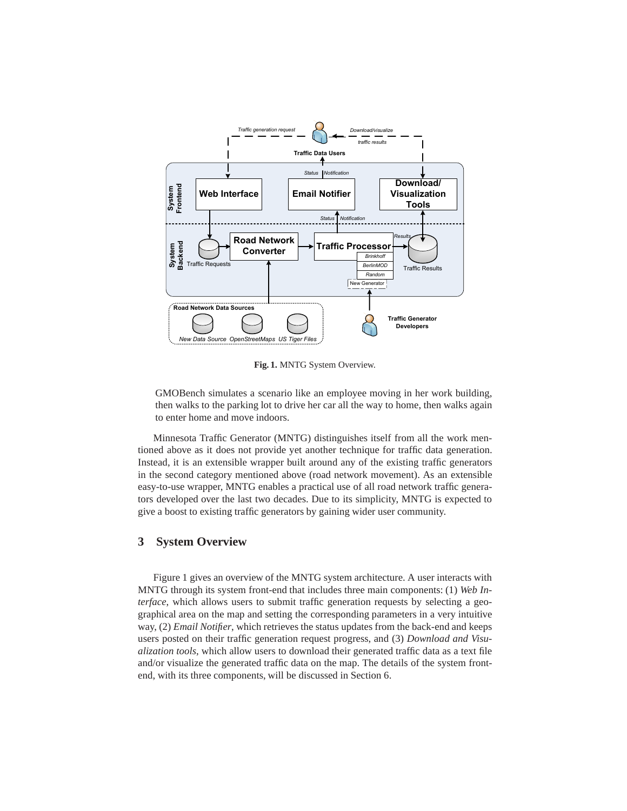

**Fig. 1.** MNTG System Overview.

GMOBench simulates a scenario like an employee moving in her work building, then walks to the parking lot to drive her car all the way to home, then walks again to enter home and move indoors.

Minnesota Traffic Generator (MNTG) distinguishes itself from all the work mentioned above as it does not provide yet another technique for traffic data generation. Instead, it is an extensible wrapper built around any of the existing traffic generators in the second category mentioned above (road network movement). As an extensible easy-to-use wrapper, MNTG enables a practical use of all road network traffic generators developed over the last two decades. Due to its simplicity, MNTG is expected to give a boost to existing traffic generators by gaining wider user community.

# **3 System Overview**

Figure 1 gives an overview of the MNTG system architecture. A user interacts with MNTG through its system front-end that includes three main components: (1) *Web Interface*, which allows users to submit traffic generation requests by selecting a geographical area on the map and setting the corresponding parameters in a very intuitive way, (2) *Email Notifier*, which retrieves the status updates from the back-end and keeps users posted on their traffic generation request progress, and (3) *Download and Visualization tools*, which allow users to download their generated traffic data as a text file and/or visualize the generated traffic data on the map. The details of the system frontend, with its three components, will be discussed in Section 6.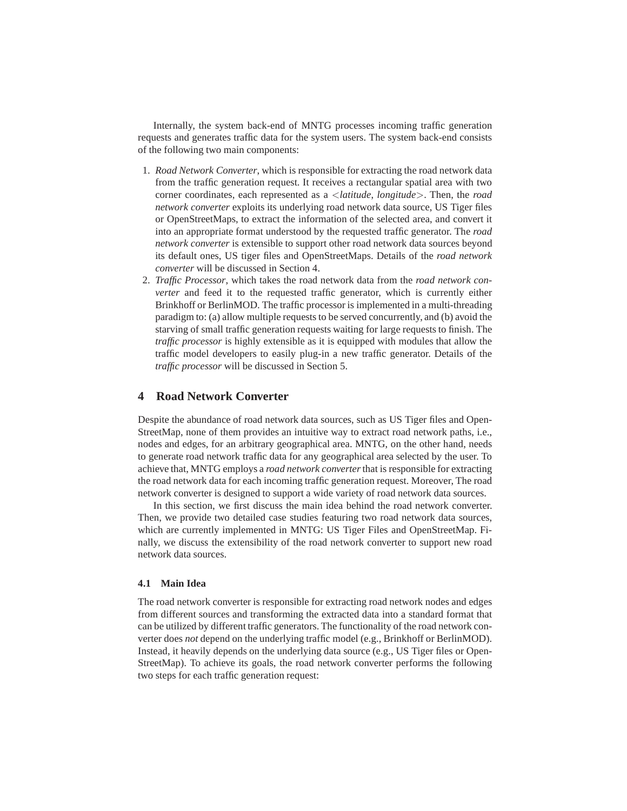Internally, the system back-end of MNTG processes incoming traffic generation requests and generates traffic data for the system users. The system back-end consists of the following two main components:

- 1. *Road Network Converter*, which is responsible for extracting the road network data from the traffic generation request. It receives a rectangular spatial area with two corner coordinates, each represented as a <*latitude*, *longitude*>. Then, the *road network converter* exploits its underlying road network data source, US Tiger files or OpenStreetMaps, to extract the information of the selected area, and convert it into an appropriate format understood by the requested traffic generator. The *road network converter* is extensible to support other road network data sources beyond its default ones, US tiger files and OpenStreetMaps. Details of the *road network converter* will be discussed in Section 4.
- 2. *Traffic Processor*, which takes the road network data from the *road network converter* and feed it to the requested traffic generator, which is currently either Brinkhoff or BerlinMOD. The traffic processor is implemented in a multi-threading paradigm to: (a) allow multiple requests to be served concurrently, and (b) avoid the starving of small traffic generation requests waiting for large requests to finish. The *traffic processor* is highly extensible as it is equipped with modules that allow the traffic model developers to easily plug-in a new traffic generator. Details of the *traffic processor* will be discussed in Section 5.

# **4 Road Network Converter**

Despite the abundance of road network data sources, such as US Tiger files and Open-StreetMap, none of them provides an intuitive way to extract road network paths, i.e., nodes and edges, for an arbitrary geographical area. MNTG, on the other hand, needs to generate road network traffic data for any geographical area selected by the user. To achieve that, MNTG employs a *road network converter*that is responsible for extracting the road network data for each incoming traffic generation request. Moreover, The road network converter is designed to support a wide variety of road network data sources.

In this section, we first discuss the main idea behind the road network converter. Then, we provide two detailed case studies featuring two road network data sources, which are currently implemented in MNTG: US Tiger Files and OpenStreetMap. Finally, we discuss the extensibility of the road network converter to support new road network data sources.

#### **4.1 Main Idea**

The road network converter is responsible for extracting road network nodes and edges from different sources and transforming the extracted data into a standard format that can be utilized by different traffic generators. The functionality of the road network converter does *not* depend on the underlying traffic model (e.g., Brinkhoff or BerlinMOD). Instead, it heavily depends on the underlying data source (e.g., US Tiger files or Open-StreetMap). To achieve its goals, the road network converter performs the following two steps for each traffic generation request: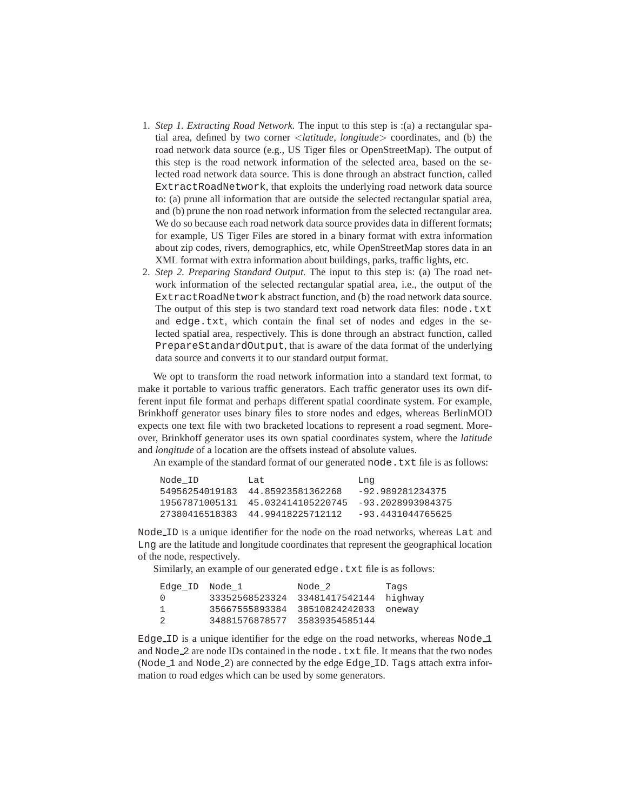- 1. *Step 1. Extracting Road Network.* The input to this step is :(a) a rectangular spatial area, defined by two corner <*latitude*, *longitude*> coordinates, and (b) the road network data source (e.g., US Tiger files or OpenStreetMap). The output of this step is the road network information of the selected area, based on the selected road network data source. This is done through an abstract function, called ExtractRoadNetwork, that exploits the underlying road network data source to: (a) prune all information that are outside the selected rectangular spatial area, and (b) prune the non road network information from the selected rectangular area. We do so because each road network data source provides data in different formats; for example, US Tiger Files are stored in a binary format with extra information about zip codes, rivers, demographics, etc, while OpenStreetMap stores data in an XML format with extra information about buildings, parks, traffic lights, etc.
- 2. *Step 2. Preparing Standard Output.* The input to this step is: (a) The road network information of the selected rectangular spatial area, i.e., the output of the ExtractRoadNetwork abstract function, and (b) the road network data source. The output of this step is two standard text road network data files: node.txt and edge.txt, which contain the final set of nodes and edges in the selected spatial area, respectively. This is done through an abstract function, called PrepareStandardOutput, that is aware of the data format of the underlying data source and converts it to our standard output format.

We opt to transform the road network information into a standard text format, to make it portable to various traffic generators. Each traffic generator uses its own different input file format and perhaps different spatial coordinate system. For example, Brinkhoff generator uses binary files to store nodes and edges, whereas BerlinMOD expects one text file with two bracketed locations to represent a road segment. Moreover, Brinkhoff generator uses its own spatial coordinates system, where the *latitude* and *longitude* of a location are the offsets instead of absolute values.

An example of the standard format of our generated node.txt file is as follows:

| Node ID        | T.at.              | Lnq                 |
|----------------|--------------------|---------------------|
| 54956254019183 | 44.85923581362268  | $-92.989281234375$  |
| 19567871005131 | 45.032414105220745 | $-93.2028993984375$ |
| 27380416518383 | 44.99418225712112  | $-93.4431044765625$ |

Node ID is a unique identifier for the node on the road networks, whereas Lat and Lng are the latitude and longitude coordinates that represent the geographical location of the node, respectively.

Similarly, an example of our generated edge.txt file is as follows:

| Edge ID Node 1 |                | Node 2         | Tags    |
|----------------|----------------|----------------|---------|
|                | 33352568523324 | 33481417542144 | hiqhway |
| $\mathbf{1}$   | 35667555893384 | 38510824242033 | oneway  |
| - 2            | 34881576878577 | 35839354585144 |         |

Edge ID is a unique identifier for the edge on the road networks, whereas Node 1 and Node 2 are node IDs contained in the node.txt file. It means that the two nodes (Node 1 and Node 2) are connected by the edge Edge ID. Tags attach extra information to road edges which can be used by some generators.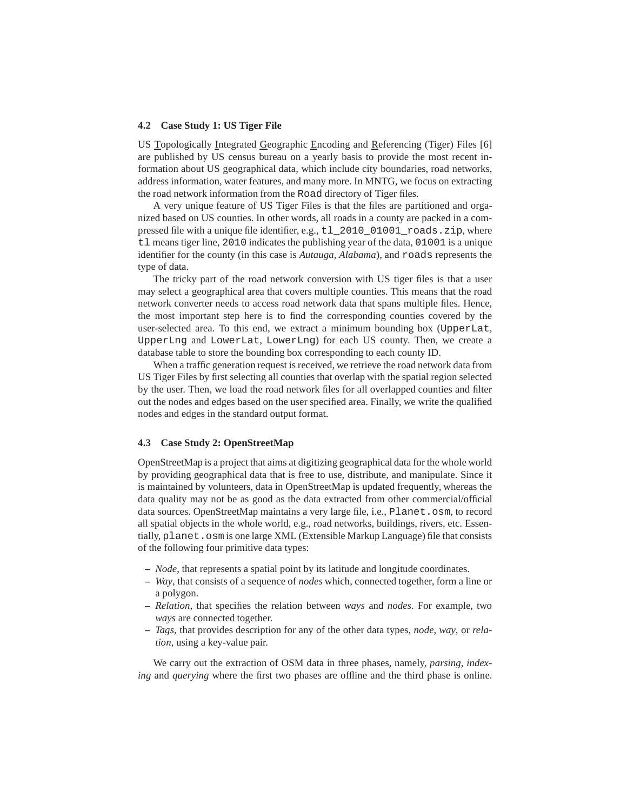#### **4.2 Case Study 1: US Tiger File**

US Topologically Integrated Geographic Encoding and Referencing (Tiger) Files [6] are published by US census bureau on a yearly basis to provide the most recent information about US geographical data, which include city boundaries, road networks, address information, water features, and many more. In MNTG, we focus on extracting the road network information from the Road directory of Tiger files.

A very unique feature of US Tiger Files is that the files are partitioned and organized based on US counties. In other words, all roads in a county are packed in a compressed file with a unique file identifier, e.g., tl\_2010\_01001\_roads.zip, where tl means tiger line, 2010 indicates the publishing year of the data, 01001 is a unique identifier for the county (in this case is *Autauga, Alabama*), and roads represents the type of data.

The tricky part of the road network conversion with US tiger files is that a user may select a geographical area that covers multiple counties. This means that the road network converter needs to access road network data that spans multiple files. Hence, the most important step here is to find the corresponding counties covered by the user-selected area. To this end, we extract a minimum bounding box (UpperLat, UpperLng and LowerLat, LowerLng) for each US county. Then, we create a database table to store the bounding box corresponding to each county ID.

When a traffic generation request is received, we retrieve the road network data from US Tiger Files by first selecting all counties that overlap with the spatial region selected by the user. Then, we load the road network files for all overlapped counties and filter out the nodes and edges based on the user specified area. Finally, we write the qualified nodes and edges in the standard output format.

#### **4.3 Case Study 2: OpenStreetMap**

OpenStreetMap is a project that aims at digitizing geographical data for the whole world by providing geographical data that is free to use, distribute, and manipulate. Since it is maintained by volunteers, data in OpenStreetMap is updated frequently, whereas the data quality may not be as good as the data extracted from other commercial/official data sources. OpenStreetMap maintains a very large file, i.e., Planet.osm, to record all spatial objects in the whole world, e.g., road networks, buildings, rivers, etc. Essentially, planet.osm is one large XML (Extensible Markup Language) file that consists of the following four primitive data types:

- **–** *Node*, that represents a spatial point by its latitude and longitude coordinates.
- **–** *Way*, that consists of a sequence of *nodes* which, connected together, form a line or a polygon.
- **–** *Relation*, that specifies the relation between *ways* and *nodes*. For example, two *ways* are connected together.
- **–** *Tags*, that provides description for any of the other data types, *node*, *way*, or *relation*, using a key-value pair.

We carry out the extraction of OSM data in three phases, namely, *parsing*, *indexing* and *querying* where the first two phases are offline and the third phase is online.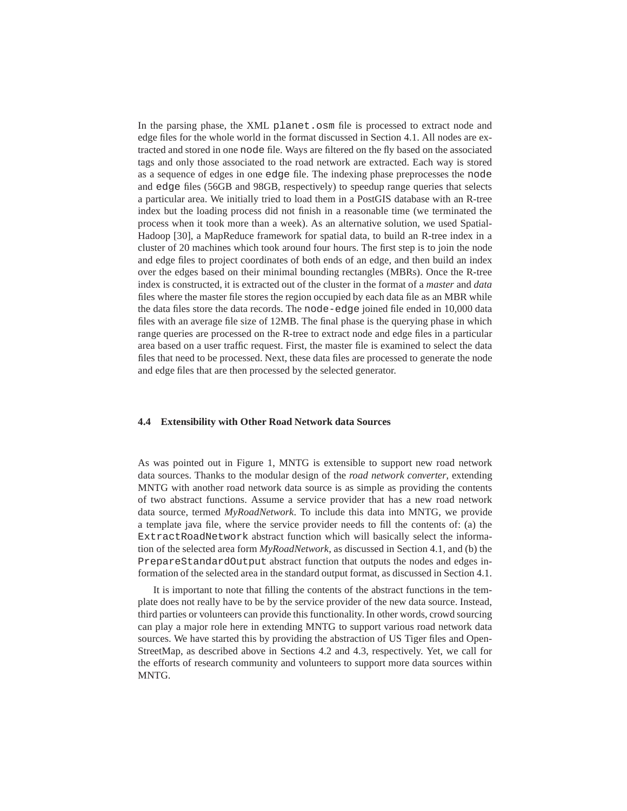In the parsing phase, the XML planet.osm file is processed to extract node and edge files for the whole world in the format discussed in Section 4.1. All nodes are extracted and stored in one node file. Ways are filtered on the fly based on the associated tags and only those associated to the road network are extracted. Each way is stored as a sequence of edges in one edge file. The indexing phase preprocesses the node and edge files (56GB and 98GB, respectively) to speedup range queries that selects a particular area. We initially tried to load them in a PostGIS database with an R-tree index but the loading process did not finish in a reasonable time (we terminated the process when it took more than a week). As an alternative solution, we used Spatial-Hadoop [30], a MapReduce framework for spatial data, to build an R-tree index in a cluster of 20 machines which took around four hours. The first step is to join the node and edge files to project coordinates of both ends of an edge, and then build an index over the edges based on their minimal bounding rectangles (MBRs). Once the R-tree index is constructed, it is extracted out of the cluster in the format of a *master* and *data* files where the master file stores the region occupied by each data file as an MBR while the data files store the data records. The node-edge joined file ended in 10,000 data files with an average file size of 12MB. The final phase is the querying phase in which range queries are processed on the R-tree to extract node and edge files in a particular area based on a user traffic request. First, the master file is examined to select the data files that need to be processed. Next, these data files are processed to generate the node and edge files that are then processed by the selected generator.

#### **4.4 Extensibility with Other Road Network data Sources**

As was pointed out in Figure 1, MNTG is extensible to support new road network data sources. Thanks to the modular design of the *road network converter*, extending MNTG with another road network data source is as simple as providing the contents of two abstract functions. Assume a service provider that has a new road network data source, termed *MyRoadNetwork*. To include this data into MNTG, we provide a template java file, where the service provider needs to fill the contents of: (a) the ExtractRoadNetwork abstract function which will basically select the information of the selected area form *MyRoadNetwork*, as discussed in Section 4.1, and (b) the PrepareStandardOutput abstract function that outputs the nodes and edges information of the selected area in the standard output format, as discussed in Section 4.1.

It is important to note that filling the contents of the abstract functions in the template does not really have to be by the service provider of the new data source. Instead, third parties or volunteers can provide this functionality. In other words, crowd sourcing can play a major role here in extending MNTG to support various road network data sources. We have started this by providing the abstraction of US Tiger files and Open-StreetMap, as described above in Sections 4.2 and 4.3, respectively. Yet, we call for the efforts of research community and volunteers to support more data sources within MNTG.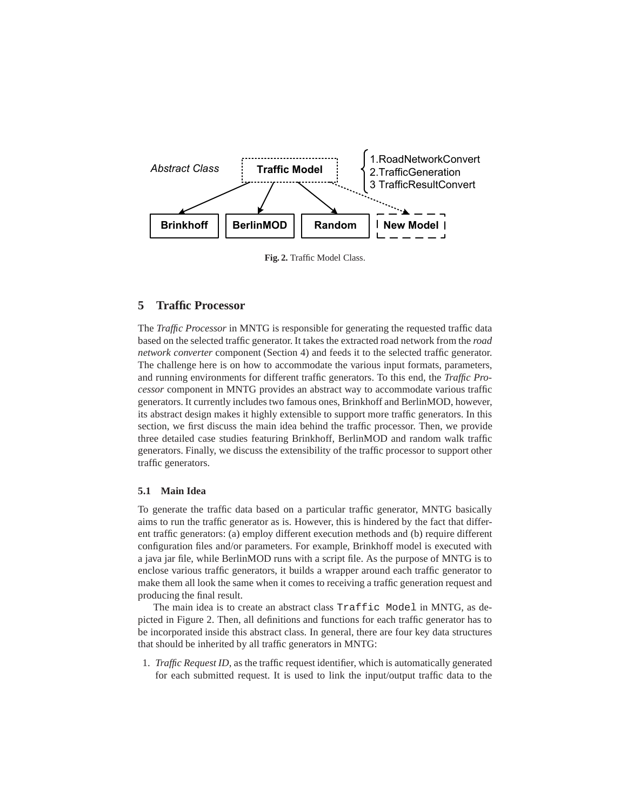

**Fig. 2.** Traffic Model Class.

## **5 Traffic Processor**

The *Traffic Processor* in MNTG is responsible for generating the requested traffic data based on the selected traffic generator. It takes the extracted road network from the *road network converter* component (Section 4) and feeds it to the selected traffic generator. The challenge here is on how to accommodate the various input formats, parameters, and running environments for different traffic generators. To this end, the *Traffic Processor* component in MNTG provides an abstract way to accommodate various traffic generators. It currently includes two famous ones, Brinkhoff and BerlinMOD, however, its abstract design makes it highly extensible to support more traffic generators. In this section, we first discuss the main idea behind the traffic processor. Then, we provide three detailed case studies featuring Brinkhoff, BerlinMOD and random walk traffic generators. Finally, we discuss the extensibility of the traffic processor to support other traffic generators.

### **5.1 Main Idea**

To generate the traffic data based on a particular traffic generator, MNTG basically aims to run the traffic generator as is. However, this is hindered by the fact that different traffic generators: (a) employ different execution methods and (b) require different configuration files and/or parameters. For example, Brinkhoff model is executed with a java jar file, while BerlinMOD runs with a script file. As the purpose of MNTG is to enclose various traffic generators, it builds a wrapper around each traffic generator to make them all look the same when it comes to receiving a traffic generation request and producing the final result.

The main idea is to create an abstract class Traffic Model in MNTG, as depicted in Figure 2. Then, all definitions and functions for each traffic generator has to be incorporated inside this abstract class. In general, there are four key data structures that should be inherited by all traffic generators in MNTG:

1. *Traffic Request ID*, as the traffic request identifier, which is automatically generated for each submitted request. It is used to link the input/output traffic data to the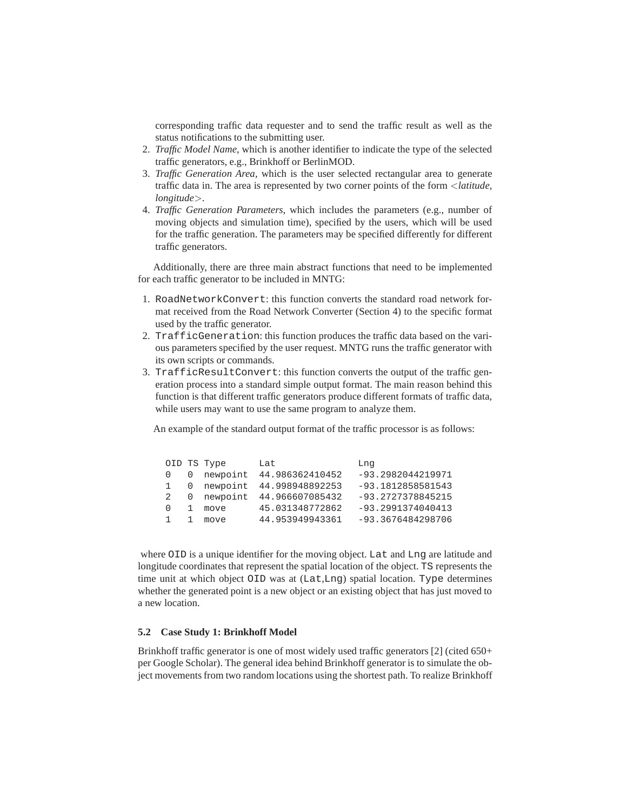corresponding traffic data requester and to send the traffic result as well as the status notifications to the submitting user.

- 2. *Traffic Model Name*, which is another identifier to indicate the type of the selected traffic generators, e.g., Brinkhoff or BerlinMOD.
- 3. *Traffic Generation Area*, which is the user selected rectangular area to generate traffic data in. The area is represented by two corner points of the form <*latitude*, *longitude*>.
- 4. *Traffic Generation Parameters*, which includes the parameters (e.g., number of moving objects and simulation time), specified by the users, which will be used for the traffic generation. The parameters may be specified differently for different traffic generators.

Additionally, there are three main abstract functions that need to be implemented for each traffic generator to be included in MNTG:

- 1. RoadNetworkConvert: this function converts the standard road network format received from the Road Network Converter (Section 4) to the specific format used by the traffic generator.
- 2. TrafficGeneration: this function produces the traffic data based on the various parameters specified by the user request. MNTG runs the traffic generator with its own scripts or commands.
- 3. TrafficResultConvert: this function converts the output of the traffic generation process into a standard simple output format. The main reason behind this function is that different traffic generators produce different formats of traffic data, while users may want to use the same program to analyze them.

An example of the standard output format of the traffic processor is as follows:

|          |          | OID TS Type | Lat             | Lnq                 |
|----------|----------|-------------|-----------------|---------------------|
| 0        | 0        | newpoint    | 44.986362410452 | $-93.2982044219971$ |
| -1.      | $\Omega$ | newpoint    | 44.998948892253 | $-93.1812858581543$ |
| -2       |          | newpoint    | 44.966607085432 | -93.2727378845215   |
| $\Omega$ |          | move        | 45.031348772862 | $-93.2991374040413$ |
|          |          | $mov$ e     | 44.953949943361 | -93.3676484298706   |

where OID is a unique identifier for the moving object. Lat and Lnq are latitude and longitude coordinates that represent the spatial location of the object. TS represents the time unit at which object OID was at (Lat,Lng) spatial location. Type determines whether the generated point is a new object or an existing object that has just moved to a new location.

#### **5.2 Case Study 1: Brinkhoff Model**

Brinkhoff traffic generator is one of most widely used traffic generators [2] (cited 650+ per Google Scholar). The general idea behind Brinkhoff generator is to simulate the object movements from two random locations using the shortest path. To realize Brinkhoff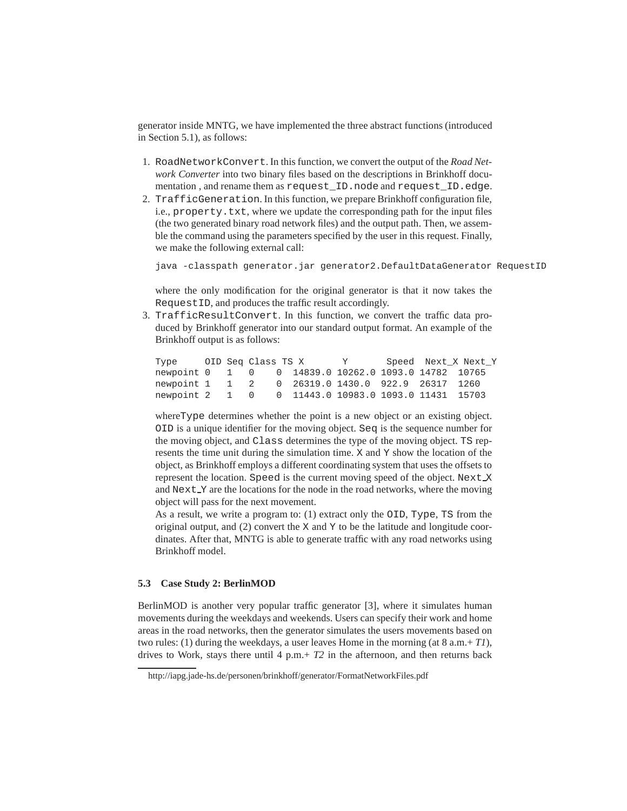generator inside MNTG, we have implemented the three abstract functions (introduced in Section 5.1), as follows:

- 1. RoadNetworkConvert. In this function, we convert the output of the *Road Network Converter* into two binary files based on the descriptions in Brinkhoff documentation, and rename them as request\_ID.node and request\_ID.edge.
- 2. TrafficGeneration. In this function, we prepare Brinkhoff configuration file, i.e., property.txt, where we update the corresponding path for the input files (the two generated binary road network files) and the output path. Then, we assemble the command using the parameters specified by the user in this request. Finally, we make the following external call:

java -classpath generator.jar generator2.DefaultDataGenerator RequestID

where the only modification for the original generator is that it now takes the RequestID, and produces the traffic result accordingly.

3. TrafficResultConvert. In this function, we convert the traffic data produced by Brinkhoff generator into our standard output format. An example of the Brinkhoff output is as follows:

Type OID Seq Class TS X Y Speed Next\_X Next\_Y newpoint 0 1 0 0 14839.0 10262.0 1093.0 14782 10765 newpoint 1 1 2 0 26319.0 1430.0 922.9 26317 1260 newpoint 2 1 0 0 11443.0 10983.0 1093.0 11431 15703

whereType determines whether the point is a new object or an existing object. OID is a unique identifier for the moving object. Seq is the sequence number for the moving object, and Class determines the type of the moving object. TS represents the time unit during the simulation time. X and Y show the location of the object, as Brinkhoff employs a different coordinating system that uses the offsets to represent the location. Speed is the current moving speed of the object. Next\_X and Next<sub>-Y</sub> are the locations for the node in the road networks, where the moving object will pass for the next movement.

As a result, we write a program to: (1) extract only the OID, Type, TS from the original output, and  $(2)$  convert the X and Y to be the latitude and longitude coordinates. After that, MNTG is able to generate traffic with any road networks using Brinkhoff model.

#### **5.3 Case Study 2: BerlinMOD**

BerlinMOD is another very popular traffic generator [3], where it simulates human movements during the weekdays and weekends. Users can specify their work and home areas in the road networks, then the generator simulates the users movements based on two rules: (1) during the weekdays, a user leaves Home in the morning (at 8 a.m.+ *T1*), drives to Work, stays there until 4 p.m.+ *T2* in the afternoon, and then returns back

http://iapg.jade-hs.de/personen/brinkhoff/generator/FormatNetworkFiles.pdf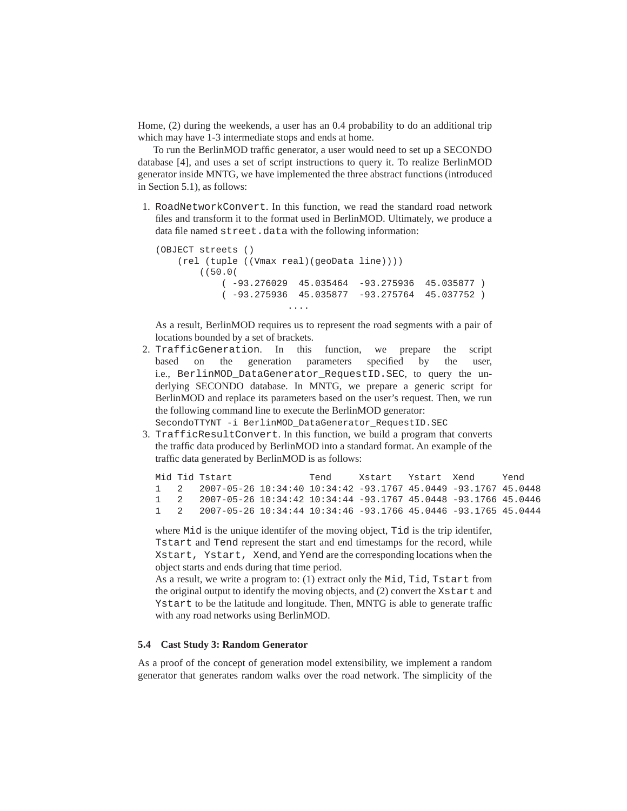Home, (2) during the weekends, a user has an 0.4 probability to do an additional trip which may have 1-3 intermediate stops and ends at home.

To run the BerlinMOD traffic generator, a user would need to set up a SECONDO database [4], and uses a set of script instructions to query it. To realize BerlinMOD generator inside MNTG, we have implemented the three abstract functions (introduced in Section 5.1), as follows:

1. RoadNetworkConvert. In this function, we read the standard road network files and transform it to the format used in BerlinMOD. Ultimately, we produce a data file named street.data with the following information:

```
(OBJECT streets ()
   (rel (tuple ((Vmax real)(geoData line))))
       ((50.0(
           ( -93.276029 45.035464 -93.275936 45.035877 )
           (-93.275936 45.035877 -93.275764 45.037752)
                       ....
```
As a result, BerlinMOD requires us to represent the road segments with a pair of locations bounded by a set of brackets.

2. TrafficGeneration. In this function, we prepare the script based on the generation parameters specified by the user, i.e., BerlinMOD\_DataGenerator\_RequestID.SEC, to query the underlying SECONDO database. In MNTG, we prepare a generic script for BerlinMOD and replace its parameters based on the user's request. Then, we run the following command line to execute the BerlinMOD generator:

SecondoTTYNT -i BerlinMOD\_DataGenerator\_RequestID.SEC

3. TrafficResultConvert. In this function, we build a program that converts the traffic data produced by BerlinMOD into a standard format. An example of the traffic data generated by BerlinMOD is as follows:

```
Mid Tid Tstart Tend Xstart Ystart Xend Yend
1 2 2007-05-26 10:34:40 10:34:42 -93.1767 45.0449 -93.1767 45.0448
1 2 2007-05-26 10:34:42 10:34:44 -93.1767 45.0448 -93.1766 45.0446
1 2 2007-05-26 10:34:44 10:34:46 -93.1766 45.0446 -93.1765 45.0444
```
where Mid is the unique identifer of the moving object, Tid is the trip identifer, Tstart and Tend represent the start and end timestamps for the record, while Xstart, Ystart, Xend, and Yend are the corresponding locations when the object starts and ends during that time period.

As a result, we write a program to: (1) extract only the Mid, Tid, Tstart from the original output to identify the moving objects, and (2) convert the Xstart and Ystart to be the latitude and longitude. Then, MNTG is able to generate traffic with any road networks using BerlinMOD.

### **5.4 Cast Study 3: Random Generator**

As a proof of the concept of generation model extensibility, we implement a random generator that generates random walks over the road network. The simplicity of the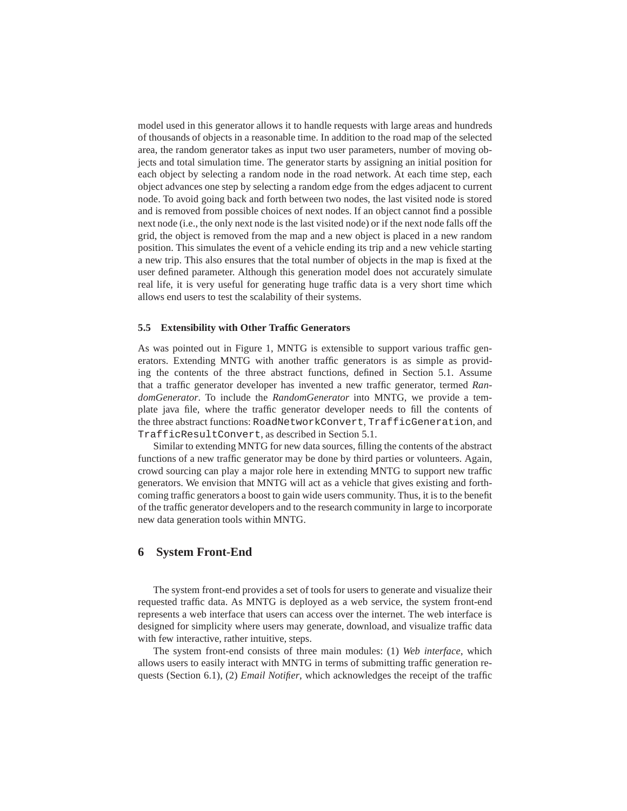model used in this generator allows it to handle requests with large areas and hundreds of thousands of objects in a reasonable time. In addition to the road map of the selected area, the random generator takes as input two user parameters, number of moving objects and total simulation time. The generator starts by assigning an initial position for each object by selecting a random node in the road network. At each time step, each object advances one step by selecting a random edge from the edges adjacent to current node. To avoid going back and forth between two nodes, the last visited node is stored and is removed from possible choices of next nodes. If an object cannot find a possible next node (i.e., the only next node is the last visited node) or if the next node falls off the grid, the object is removed from the map and a new object is placed in a new random position. This simulates the event of a vehicle ending its trip and a new vehicle starting a new trip. This also ensures that the total number of objects in the map is fixed at the user defined parameter. Although this generation model does not accurately simulate real life, it is very useful for generating huge traffic data is a very short time which allows end users to test the scalability of their systems.

#### **5.5 Extensibility with Other Traffic Generators**

As was pointed out in Figure 1, MNTG is extensible to support various traffic generators. Extending MNTG with another traffic generators is as simple as providing the contents of the three abstract functions, defined in Section 5.1. Assume that a traffic generator developer has invented a new traffic generator, termed *RandomGenerator*. To include the *RandomGenerator* into MNTG, we provide a template java file, where the traffic generator developer needs to fill the contents of the three abstract functions: RoadNetworkConvert, TrafficGeneration, and TrafficResultConvert, as described in Section 5.1.

Similar to extending MNTG for new data sources, filling the contents of the abstract functions of a new traffic generator may be done by third parties or volunteers. Again, crowd sourcing can play a major role here in extending MNTG to support new traffic generators. We envision that MNTG will act as a vehicle that gives existing and forthcoming traffic generators a boost to gain wide users community. Thus, it is to the benefit of the traffic generator developers and to the research community in large to incorporate new data generation tools within MNTG.

## **6 System Front-End**

The system front-end provides a set of tools for users to generate and visualize their requested traffic data. As MNTG is deployed as a web service, the system front-end represents a web interface that users can access over the internet. The web interface is designed for simplicity where users may generate, download, and visualize traffic data with few interactive, rather intuitive, steps.

The system front-end consists of three main modules: (1) *Web interface*, which allows users to easily interact with MNTG in terms of submitting traffic generation requests (Section 6.1), (2) *Email Notifier*, which acknowledges the receipt of the traffic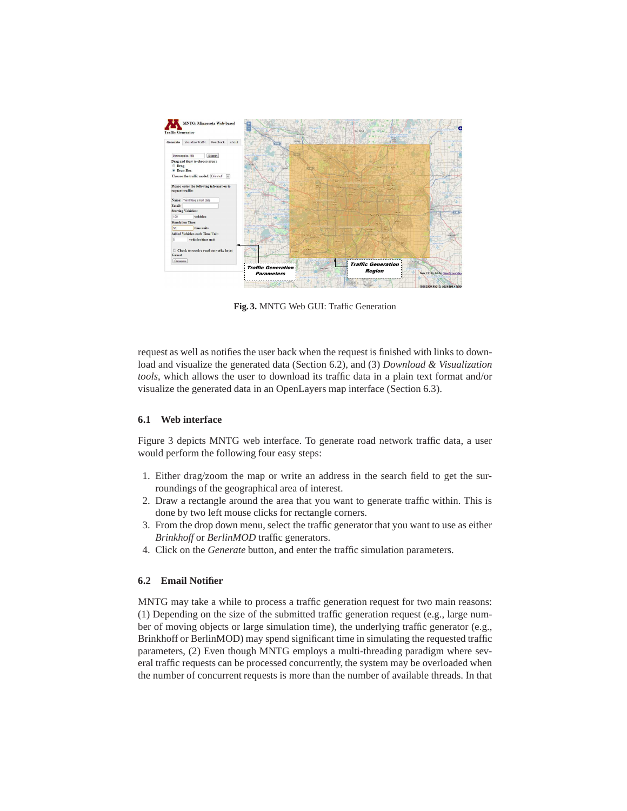

**Fig. 3.** MNTG Web GUI: Traffic Generation

request as well as notifies the user back when the request is finished with links to download and visualize the generated data (Section 6.2), and (3) *Download & Visualization tools*, which allows the user to download its traffic data in a plain text format and/or visualize the generated data in an OpenLayers map interface (Section 6.3).

### **6.1 Web interface**

Figure 3 depicts MNTG web interface. To generate road network traffic data, a user would perform the following four easy steps:

- 1. Either drag/zoom the map or write an address in the search field to get the surroundings of the geographical area of interest.
- 2. Draw a rectangle around the area that you want to generate traffic within. This is done by two left mouse clicks for rectangle corners.
- 3. From the drop down menu, select the traffic generator that you want to use as either *Brinkhoff* or *BerlinMOD* traffic generators.
- 4. Click on the *Generate* button, and enter the traffic simulation parameters.

#### **6.2 Email Notifier**

MNTG may take a while to process a traffic generation request for two main reasons: (1) Depending on the size of the submitted traffic generation request (e.g., large number of moving objects or large simulation time), the underlying traffic generator (e.g., Brinkhoff or BerlinMOD) may spend significant time in simulating the requested traffic parameters, (2) Even though MNTG employs a multi-threading paradigm where several traffic requests can be processed concurrently, the system may be overloaded when the number of concurrent requests is more than the number of available threads. In that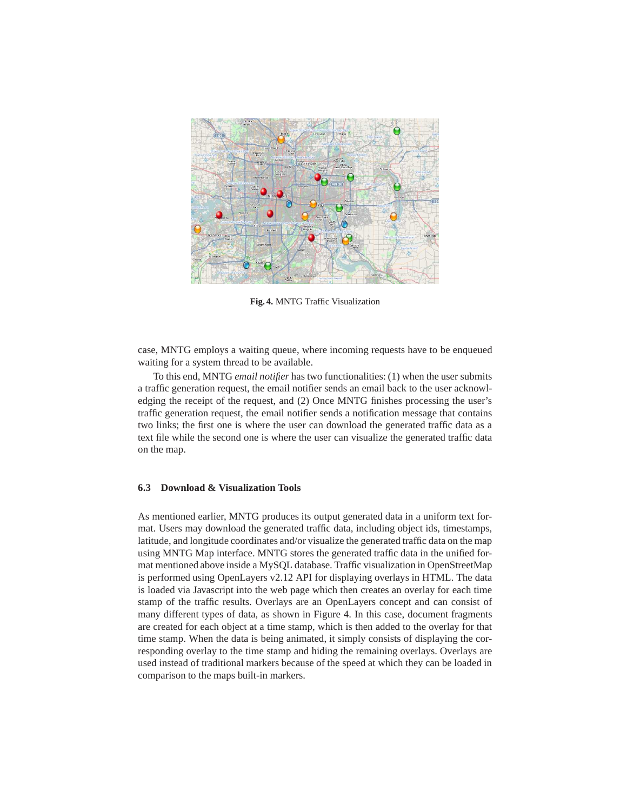

**Fig. 4.** MNTG Traffic Visualization

case, MNTG employs a waiting queue, where incoming requests have to be enqueued waiting for a system thread to be available.

To this end, MNTG *email notifier* has two functionalities: (1) when the user submits a traffic generation request, the email notifier sends an email back to the user acknowledging the receipt of the request, and (2) Once MNTG finishes processing the user's traffic generation request, the email notifier sends a notification message that contains two links; the first one is where the user can download the generated traffic data as a text file while the second one is where the user can visualize the generated traffic data on the map.

#### **6.3 Download & Visualization Tools**

As mentioned earlier, MNTG produces its output generated data in a uniform text format. Users may download the generated traffic data, including object ids, timestamps, latitude, and longitude coordinates and/or visualize the generated traffic data on the map using MNTG Map interface. MNTG stores the generated traffic data in the unified format mentioned above inside a MySQL database. Traffic visualization in OpenStreetMap is performed using OpenLayers v2.12 API for displaying overlays in HTML. The data is loaded via Javascript into the web page which then creates an overlay for each time stamp of the traffic results. Overlays are an OpenLayers concept and can consist of many different types of data, as shown in Figure 4. In this case, document fragments are created for each object at a time stamp, which is then added to the overlay for that time stamp. When the data is being animated, it simply consists of displaying the corresponding overlay to the time stamp and hiding the remaining overlays. Overlays are used instead of traditional markers because of the speed at which they can be loaded in comparison to the maps built-in markers.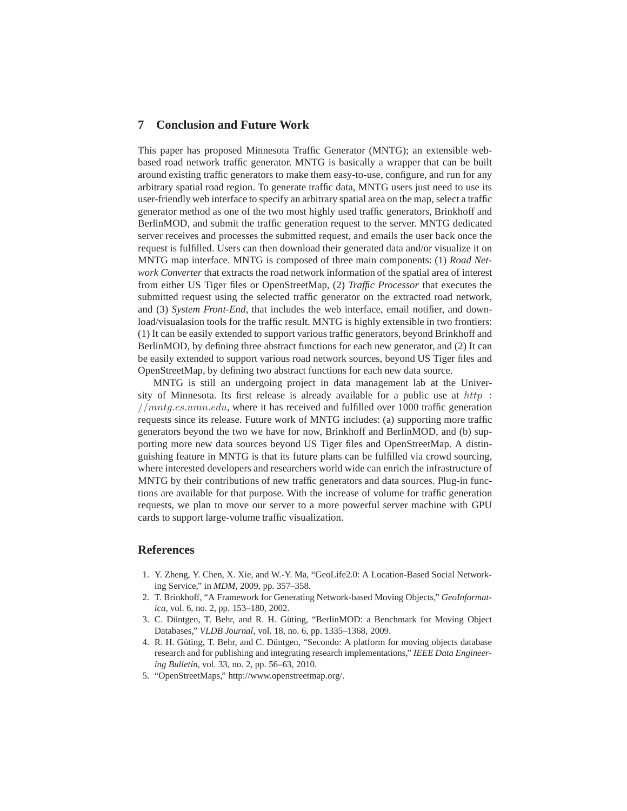## **7 Conclusion and Future Work**

This paper has proposed Minnesota Traffic Generator (MNTG); an extensible webbased road network traffic generator. MNTG is basically a wrapper that can be built around existing traffic generators to make them easy-to-use, configure, and run for any arbitrary spatial road region. To generate traffic data, MNTG users just need to use its user-friendly web interface to specify an arbitrary spatial area on the map, select a traffic generator method as one of the two most highly used traffic generators, Brinkhoff and BerlinMOD, and submit the traffic generation request to the server. MNTG dedicated server receives and processes the submitted request, and emails the user back once the request is fulfilled. Users can then download their generated data and/or visualize it on MNTG map interface. MNTG is composed of three main components: (1) *Road Network Converter* that extracts the road network information of the spatial area of interest from either US Tiger files or OpenStreetMap, (2) *Traffic Processor* that executes the submitted request using the selected traffic generator on the extracted road network, and (3) *System Front-End*, that includes the web interface, email notifier, and download/visualasion tools for the traffic result. MNTG is highly extensible in two frontiers: (1) It can be easily extended to support various traffic generators, beyond Brinkhoff and BerlinMOD, by defining three abstract functions for each new generator, and (2) It can be easily extended to support various road network sources, beyond US Tiger files and OpenStreetMap, by defining two abstract functions for each new data source.

MNTG is still an undergoing project in data management lab at the University of Minnesota. Its first release is already available for a public use at  $http$ :  $//mntq.cs.umn.edu$ , where it has received and fulfilled over 1000 traffic generation requests since its release. Future work of MNTG includes: (a) supporting more traffic generators beyond the two we have for now, Brinkhoff and BerlinMOD, and (b) supporting more new data sources beyond US Tiger files and OpenStreetMap. A distinguishing feature in MNTG is that its future plans can be fulfilled via crowd sourcing, where interested developers and researchers world wide can enrich the infrastructure of MNTG by their contributions of new traffic generators and data sources. Plug-in functions are available for that purpose. With the increase of volume for traffic generation requests, we plan to move our server to a more powerful server machine with GPU cards to support large-volume traffic visualization.

### **References**

- 1. Y. Zheng, Y. Chen, X. Xie, and W.-Y. Ma, "GeoLife2.0: A Location-Based Social Networking Service," in *MDM*, 2009, pp. 357–358.
- 2. T. Brinkhoff, "A Framework for Generating Network-based Moving Objects," *GeoInformatica*, vol. 6, no. 2, pp. 153–180, 2002.
- 3. C. Düntgen, T. Behr, and R. H. Güting, "BerlinMOD: a Benchmark for Moving Object Databases," *VLDB Journal*, vol. 18, no. 6, pp. 1335–1368, 2009.
- 4. R. H. Güting, T. Behr, and C. Düntgen, "Secondo: A platform for moving objects database research and for publishing and integrating research implementations," *IEEE Data Engineering Bulletin*, vol. 33, no. 2, pp. 56–63, 2010.
- 5. "OpenStreetMaps," http://www.openstreetmap.org/.